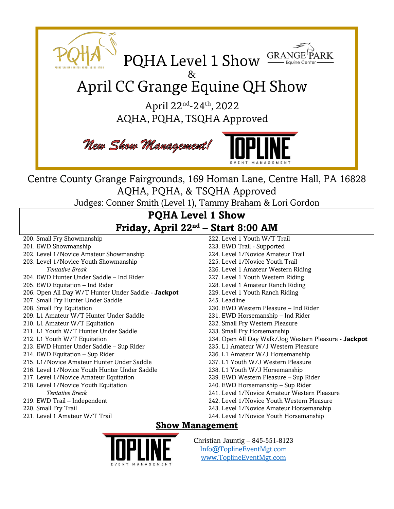

Centre County Grange Fairgrounds, 169 Homan Lane, Centre Hall, PA 16828 AQHA, PQHA, & TSQHA Approved

Judges: Conner Smith (Level 1), Tammy Braham & Lori Gordon

# **PQHA Level 1 Show Friday, April 22 nd – Start 8:00 AM**

- 200. Small Fry Showmanship
- 201. EWD Showmanship
- 202. Level 1/Novice Amateur Showmanship
- 203. Level 1/Novice Youth Showmanship
- *Tentative Break* 204. EWD Hunter Under Saddle – Ind Rider
- 205. EWD Equitation Ind Rider
- 
- 206. Open All Day W/T Hunter Under Saddle **Jackpot**
- 207. Small Fry Hunter Under Saddle
- 208. Small Fry Equitation
- 209. L1 Amateur W/T Hunter Under Saddle
- 210. L1 Amateur W/T Equitation
- 211. L1 Youth W/T Hunter Under Saddle
- 212. L1 Youth W/T Equitation
- 213. EWD Hunter Under Saddle Sup Rider
- 214. EWD Equitation Sup Rider
- 215. L1/Novice Amateur Hunter Under Saddle
- 216. Level 1/Novice Youth Hunter Under Saddle
- 217. Level 1/Novice Amateur Equitation
- 218. Level 1/Novice Youth Equitation *Tentative Break*
- 219. EWD Trail Independent
- 220. Small Fry Trail
- 221. Level 1 Amateur W/T Trail
- 222. Level 1 Youth W/T Trail 223. EWD Trail - Supported
- 224. Level 1/Novice Amateur Trail
- 225. Level 1/Novice Youth Trail
- 226. Level 1 Amateur Western Riding
- 227. Level 1 Youth Western Riding
- 228. Level 1 Amateur Ranch Riding
- 229. Level 1 Youth Ranch Riding
- 245. Leadline
- 230. EWD Western Pleasure Ind Rider
- 231. EWD Horsemanship Ind Rider
- 232. Small Fry Western Pleasure
- 233. Small Fry Horsemanship
- 234. Open All Day Walk/Jog Western Pleasure **Jackpot**
- 235. L1 Amateur W/J Western Pleasure
- 236. L1 Amateur W/J Horsemanship
- 237. L1 Youth W/J Western Pleasure
- 238. L1 Youth W/J Horsemanship
- 239. EWD Western Pleasure Sup Rider
- 240. EWD Horsemanship Sup Rider
- 241. Level 1/Novice Amateur Western Pleasure
- 242. Level 1/Novice Youth Western Pleasure
- 243. Level 1/Novice Amateur Horsemanship
- 244. Level 1/Novice Youth Horsemanship

## **Show Management**



Christian Jauntig – 845-551-8123 [Info@ToplineEventMgt.com](mailto:Info@ToplineEventMgt.com) [www.ToplineEventMgt.com](http://www.toplineeventmgt.com/)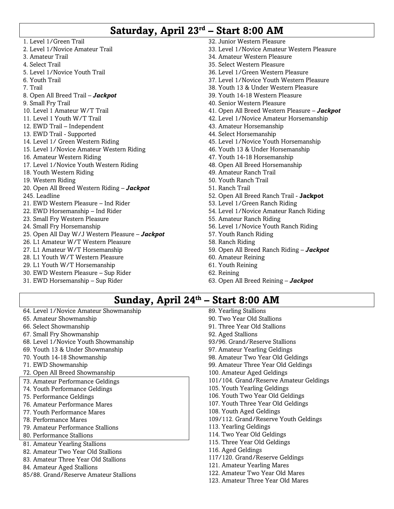# **Saturday, April 23 rd – Start 8:00 AM**

- 1. Level 1/Green Trail 2. Level 1/Novice Amateur Trail 3. Amateur Trail 4. Select Trail 5. Level 1/Novice Youth Trail 6. Youth Trail 7. Trail 8. Open All Breed Trail – *Jackpot* 9. Small Fry Trail 10. Level 1 Amateur W/T Trail 11. Level 1 Youth W/T Trail 12. EWD Trail – Independent 13. EWD Trail - Supported 14. Level 1/ Green Western Riding 15. Level 1/Novice Amateur Western Riding 16. Amateur Western Riding 17. Level 1/Novice Youth Western Riding 18. Youth Western Riding 19. Western Riding 20. Open All Breed Western Riding – *Jackpot* 245. Leadline 21. EWD Western Pleasure – Ind Rider 22. EWD Horsemanship – Ind Rider 23. Small Fry Western Pleasure 24. Small Fry Horsemanship 25. Open All Day W/J Western Pleasure – *Jackpot* 26. L1 Amateur W/T Western Pleasure 27. L1 Amateur W/T Horsemanship 28. L1 Youth W/T Western Pleasure 29. L1 Youth W/T Horsemanship 30. EWD Western Pleasure – Sup Rider 31. EWD Horsemanship – Sup Rider 32. Junior Western Pleasure 34. Amateur Western Pleasure 35. Select Western Pleasure 36. Level 1/Green Western Pleasure 39. Youth 14-18 Western Pleasure 40. Senior Western Pleasure 43. Amateur Horsemanship 44. Select Horsemanship 46. Youth 13 & Under Horsemanship 47. Youth 14-18 Horsemanship 48. Open All Breed Horsemanship 49. Amateur Ranch Trail 50. Youth Ranch Trail 51. Ranch Trail 53. Level 1/Green Ranch Riding 55. Amateur Ranch Riding 57. Youth Ranch Riding 58. Ranch Riding 60. Amateur Reining 61. Youth Reining 62. Reining 63. Open All Breed Reining – *Jackpot*
	- 33. Level 1/Novice Amateur Western Pleasure 37. Level 1/Novice Youth Western Pleasure 38. Youth 13 & Under Western Pleasure 41. Open All Breed Western Pleasure – *Jackpot* 42. Level 1/Novice Amateur Horsemanship 45. Level 1/Novice Youth Horsemanship 52. Open All Breed Ranch Trail - **Jackpot** 54. Level 1/Novice Amateur Ranch Riding 56. Level 1/Novice Youth Ranch Riding 59. Open All Breed Ranch Riding – *Jackpot*
		-

# **Sunday, April 24 th – Start 8:00 AM**

- 64. Level 1/Novice Amateur Showmanship
- 65. Amateur Showmanship
- 66. Select Showmanship
- 67. Small Fry Showmanship
- 68. Level 1/Novice Youth Showmanship
- 69. Youth 13 & Under Showmanship
- 70. Youth 14-18 Showmanship
- 71. EWD Showmanship
- 72. Open All Breed Showmanship
- 73. Amateur Performance Geldings
- 74. Youth Performance Geldings
- 75. Performance Geldings
- 76. Amateur Performance Mares
- 77. Youth Performance Mares
- 78. Performance Mares
- 79. Amateur Performance Stallions
- 80. Performance Stallions
- 81. Amateur Yearling Stallions
- 82. Amateur Two Year Old Stallions
- 83. Amateur Three Year Old Stallions
- 84. Amateur Aged Stallions
- 85/88. Grand/Reserve Amateur Stallions
- 90. Two Year Old Stallions 91. Three Year Old Stallions 107. Youth Three Year Old Geldings 108. Youth Aged Geldings 113. Yearling Geldings 114. Two Year Old Geldings 115. Three Year Old Geldings 116. Aged Geldings 117/120. Grand/Reserve Geldings
- 121. Amateur Yearling Mares
- 122. Amateur Two Year Old Mares
- 123. Amateur Three Year Old Mares

89. Yearling Stallions

- 92. Aged Stallions
- 93/96. Grand/Reserve Stallions
- 97. Amateur Yearling Geldings
- 98. Amateur Two Year Old Geldings
- 99. Amateur Three Year Old Geldings
- 100. Amateur Aged Geldings
- 101/104. Grand/Reserve Amateur Geldings
- 105. Youth Yearling Geldings
- 106. Youth Two Year Old Geldings
- 
- 
- 109/112. Grand/Reserve Youth Geldings
- 
- 
- 
- 
-